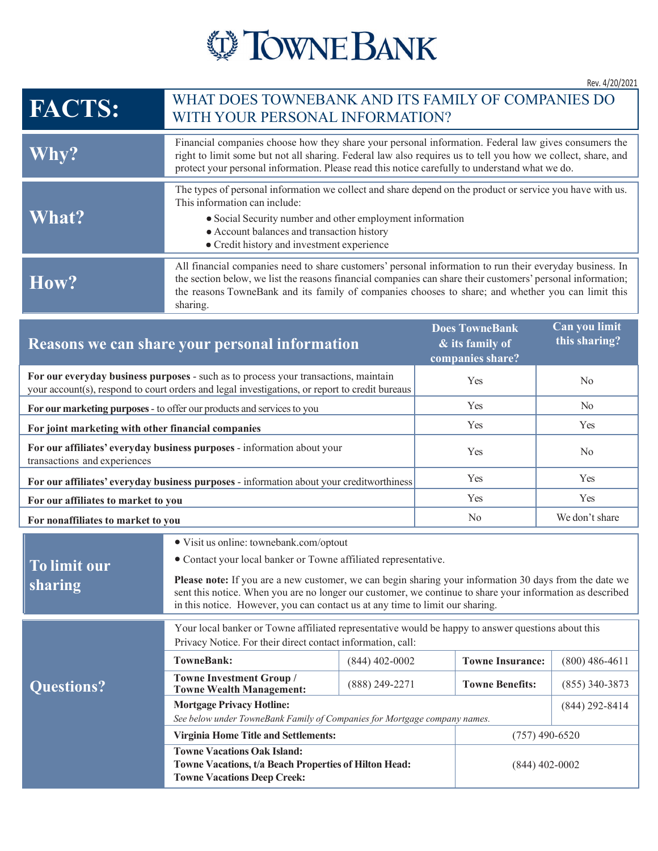

## **FACTS:** WHAT DOES TOWNEBANK AND ITS FAMILY OF COMPANIES DO WITH YOUR PERSONAL INFORMATION? **Why?** Financial companies choose how they share your personal information. Federal law gives consumers the right to limit some but not all sharing. Federal law also requires us to tell you how we collect, share, and protect your personal information. Please read this notice carefully to understand what we do. **What?** The types of personal information we collect and share depend on the product or service you have with us. This information can include: Social Security number and other employment information Account balances and transaction history Credit history and investment experience **How?** All financial companies need to share customers' personal information to run their everyday business. In the section below, we list the reasons financial companies can share their customers' personal information; the reasons TowneBank and its family of companies chooses to share; and whether you can limit this sharing. **Reasons we can share your personal information Does TowneBank & its family of companies share? Can you limit this sharing? For our everyday business purposes** - such as to process your transactions, maintain your account(s), respond to court orders and legal investigations, or report to credit bureaus Yes No **For our marketing purposes** - to offer our products and services to you Yes Yes No **For joint marketing with other financial companies** Yes Yes Yes Yes Yes **For our affiliates' everyday business purposes** - information about your transactions and experiences Yes No **For our affiliates' everyday business purposes - information about your creditworthiness Yes** Yes Yes **For our affiliates to market to you** Yes Yes **For nonaffiliates to market to you** No We don't share **To limit our sharing** • Visit us online: townebank.com/optout • Contact your local banker or Towne affiliated representative. **Please note:** If you are a new customer, we can begin sharing your information 30 days from the date we sent this notice. When you are no longer our customer, we continue to share your information as described in this notice. However, you can contact us at any time to limit our sharing. **Questions?** Your local banker or Towne affiliated representative would be happy to answer questions about this Privacy Notice. For their direct contact information, call: **TowneBank:** (844) 402-0002 **Towne Insurance:** (800) 486-4611 **Towne Investment Group / Towne Hivesthem Group** / (888) 249-2271 **Towne Benefits:** (855) 340-3873 **Mortgage Privacy Hotline:** *See below under TowneBank Family of Companies for Mortgage company names.*  (844) 292-8414 **Virginia Home Title and Settlements:** (757) 490-6520 **Towne Vacations Oak Island: Towne Vacations, t/a Beach Properties of Hilton Head: Towne Vacations Deep Creek:** (844) 402-0002